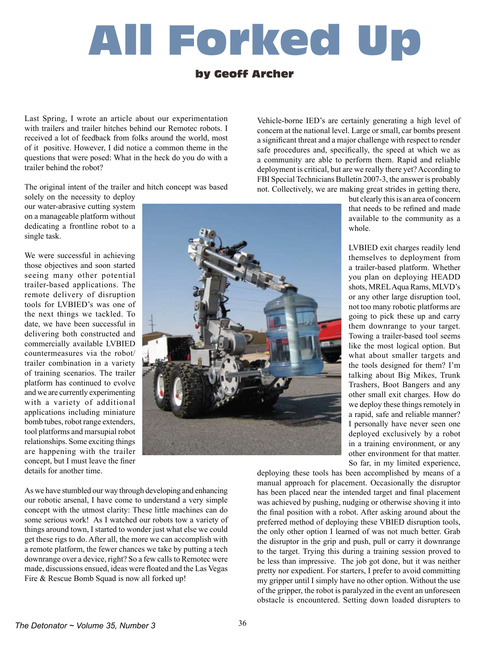# All Forked Up

## by Geoff Archer

Last Spring, I wrote an article about our experimentation with trailers and trailer hitches behind our Remotec robots. I received a lot of feedback from folks around the world, most of it positive. However, I did notice a common theme in the questions that were posed: What in the heck do you do with a trailer behind the robot?

The original intent of the trailer and hitch concept was based

solely on the necessity to deploy our water-abrasive cutting system on a manageable platform without dedicating a frontline robot to a single task.

We were successful in achieving those objectives and soon started seeing many other potential trailer-based applications. The remote delivery of disruption tools for LVBIED's was one of the next things we tackled. To date, we have been successful in delivering both constructed and commercially available LVBIED countermeasures via the robot/ trailer combination in a variety of training scenarios. The trailer platform has continued to evolve and we are currently experimenting with a variety of additional applications including miniature bomb tubes, robot range extenders, tool platforms and marsupial robot relationships. Some exciting things are happening with the trailer concept, but I must leave the finer details for another time.



As we have stumbled our way through developing and enhancing our robotic arsenal, I have come to understand a very simple concept with the utmost clarity: These little machines can do some serious work! As I watched our robots tow a variety of things around town, I started to wonder just what else we could get these rigs to do. After all, the more we can accomplish with a remote platform, the fewer chances we take by putting a tech downrange over a device, right? So a few calls to Remotec were made, discussions ensued, ideas were floated and the Las Vegas Fire & Rescue Bomb Squad is now all forked up!

Vehicle-borne IED's are certainly generating a high level of concern at the national level. Large or small, car bombs present a significant threat and a major challenge with respect to render safe procedures and, specifically, the speed at which we as a community are able to perform them. Rapid and reliable deployment is critical, but are we really there yet? According to FBI Special Technicians Bulletin 2007-3, the answer is probably not. Collectively, we are making great strides in getting there,

> but clearly this is an area of concern that needs to be refined and made available to the community as a whole.

> LVBIED exit charges readily lend themselves to deployment from a trailer-based platform. Whether you plan on deploying HEADD shots, MREL Aqua Rams, MLVD's or any other large disruption tool, not too many robotic platforms are going to pick these up and carry them downrange to your target. Towing a trailer-based tool seems like the most logical option. But what about smaller targets and the tools designed for them? I'm talking about Big Mikes, Trunk Trashers, Boot Bangers and any other small exit charges. How do we deploy these things remotely in a rapid, safe and reliable manner? I personally have never seen one deployed exclusively by a robot in a training environment, or any other environment for that matter. So far, in my limited experience,

deploying these tools has been accomplished by means of a manual approach for placement. Occasionally the disruptor has been placed near the intended target and final placement was achieved by pushing, nudging or otherwise shoving it into the final position with a robot. After asking around about the preferred method of deploying these VBIED disruption tools, the only other option I learned of was not much better. Grab the disruptor in the grip and push, pull or carry it downrange to the target. Trying this during a training session proved to be less than impressive. The job got done, but it was neither pretty nor expedient. For starters, I prefer to avoid committing my gripper until I simply have no other option. Without the use of the gripper, the robot is paralyzed in the event an unforeseen obstacle is encountered. Setting down loaded disrupters to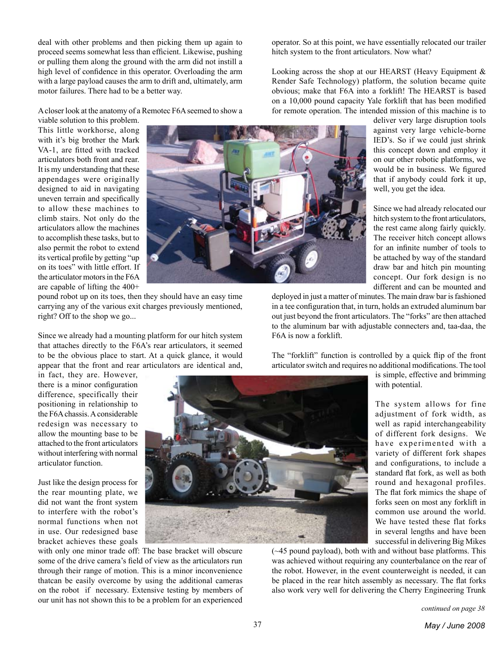deal with other problems and then picking them up again to proceed seems somewhat less than efficient. Likewise, pushing or pulling them along the ground with the arm did not instill a high level of confidence in this operator. Overloading the arm with a large payload causes the arm to drift and, ultimately, arm motor failures. There had to be a better way.

A closer look at the anatomy of a Remotec F6A seemed to show a

viable solution to this problem. This little workhorse, along with it's big brother the Mark VA-1, are fitted with tracked articulators both front and rear. It is my understanding that these appendages were originally designed to aid in navigating uneven terrain and specifically to allow these machines to climb stairs. Not only do the articulators allow the machines to accomplish these tasks, but to also permit the robot to extend its vertical profile by getting "up on its toes" with little effort. If the articulator motors in the F6A are capable of lifting the 400+



pound robot up on its toes, then they should have an easy time carrying any of the various exit charges previously mentioned, right? Off to the shop we go...

Since we already had a mounting platform for our hitch system that attaches directly to the F6A's rear articulators, it seemed to be the obvious place to start. At a quick glance, it would appear that the front and rear articulators are identical and,

in fact, they are. However, there is a minor configuration difference, specifically their positioning in relationship to the F6A chassis. A considerable redesign was necessary to allow the mounting base to be attached to the front articulators without interfering with normal articulator function.

Just like the design process for the rear mounting plate, we did not want the front system to interfere with the robot's normal functions when not in use. Our redesigned base bracket achieves these goals



with only one minor trade off: The base bracket will obscure some of the drive camera's field of view as the articulators run through their range of motion. This is a minor inconvenience thatcan be easily overcome by using the additional cameras on the robot if necessary. Extensive testing by members of our unit has not shown this to be a problem for an experienced

operator. So at this point, we have essentially relocated our trailer hitch system to the front articulators. Now what?

Looking across the shop at our HEARST (Heavy Equipment & Render Safe Technology) platform, the solution became quite obvious; make that F6A into a forklift! The HEARST is based on a 10,000 pound capacity Yale forklift that has been modified for remote operation. The intended mission of this machine is to

> deliver very large disruption tools against very large vehicle-borne IED's. So if we could just shrink this concept down and employ it on our other robotic platforms, we would be in business. We figured that if anybody could fork it up, well, you get the idea.

> Since we had already relocated our hitch system to the front articulators, the rest came along fairly quickly. The receiver hitch concept allows for an infinite number of tools to be attached by way of the standard draw bar and hitch pin mounting concept. Our fork design is no different and can be mounted and

deployed in just a matter of minutes. The main draw bar is fashioned in a tee configuration that, in turn, holds an extruded aluminum bar out just beyond the front articulators. The "forks" are then attached to the aluminum bar with adjustable connecters and, taa-daa, the F6A is now a forklift.

The "forklift" function is controlled by a quick flip of the front articulator switch and requires no additional modifications. The tool

> is simple, effective and brimming with potential.

> The system allows for fine adjustment of fork width, as well as rapid interchangeability of different fork designs. We have experimented with a variety of different fork shapes and configurations, to include a standard flat fork, as well as both round and hexagonal profiles. The flat fork mimics the shape of forks seen on most any forklift in common use around the world. We have tested these flat forks in several lengths and have been successful in delivering Big Mikes

(~45 pound payload), both with and without base platforms. This was achieved without requiring any counterbalance on the rear of the robot. However, in the event counterweight is needed, it can be placed in the rear hitch assembly as necessary. The flat forks also work very well for delivering the Cherry Engineering Trunk